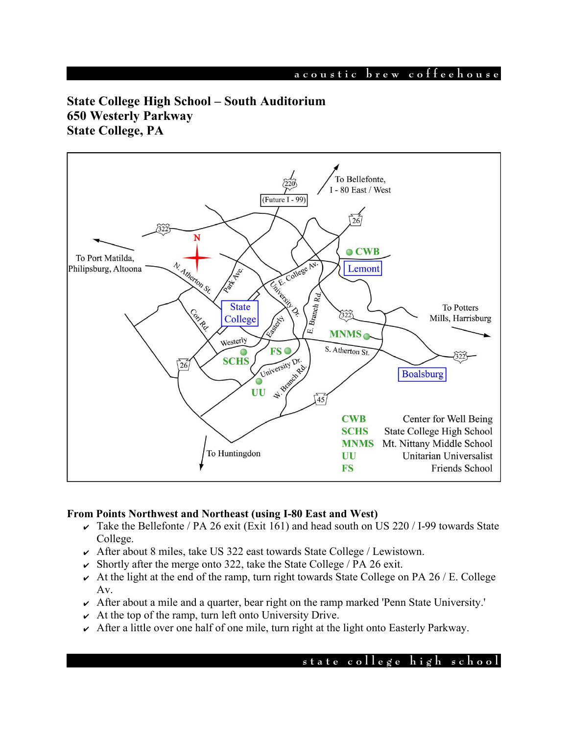# **a c o u s t i c b r e w c o f f e e h o u s e**

# **State College High School – South Auditorium 650 Westerly Parkway State College, PA**



## **From Points Northwest and Northeast (using I-80 East and West)**

- $\overline{\smash{\mathsf{K}}}$  Take the Bellefonte / PA 26 exit (Exit 161) and head south on US 220 / I-99 towards State College.
- $\sim$  After about 8 miles, take US 322 east towards State College / Lewistown.
- $\triangleright$  Shortly after the merge onto 322, take the State College / PA 26 exit.
- $\sim$  At the light at the end of the ramp, turn right towards State College on PA 26 / E. College Av.
- ✔ After about a mile and a quarter, bear right on the ramp marked 'Penn State University.'
- $\sim$  At the top of the ramp, turn left onto University Drive.
- $\sim$  After a little over one half of one mile, turn right at the light onto Easterly Parkway.